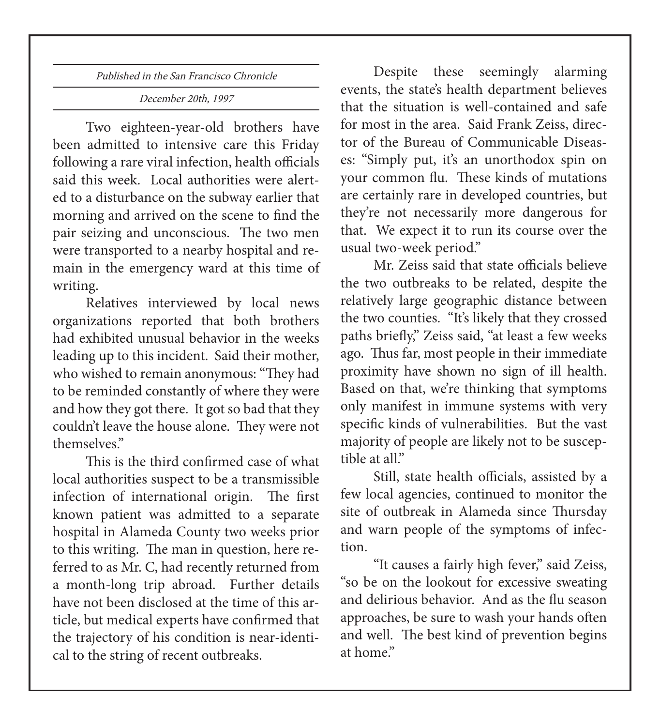Published in the San Francisco Chronicle

December 20th, 1997

Two eighteen-year-old brothers have been admitted to intensive care this Friday following a rare viral infection, health officials said this week. Local authorities were alerted to a disturbance on the subway earlier that morning and arrived on the scene to find the pair seizing and unconscious. The two men were transported to a nearby hospital and remain in the emergency ward at this time of writing.

Relatives interviewed by local news organizations reported that both brothers had exhibited unusual behavior in the weeks leading up to this incident. Said their mother, who wished to remain anonymous: "They had to be reminded constantly of where they were and how they got there. It got so bad that they couldn't leave the house alone. They were not themselves."

This is the third confirmed case of what local authorities suspect to be a transmissible infection of international origin. The first known patient was admitted to a separate hospital in Alameda County two weeks prior to this writing. The man in question, here referred to as Mr. C, had recently returned from a month-long trip abroad. Further details have not been disclosed at the time of this article, but medical experts have confirmed that the trajectory of his condition is near-identical to the string of recent outbreaks.

Despite these seemingly alarming events, the state's health department believes that the situation is well-contained and safe for most in the area. Said Frank Zeiss, director of the Bureau of Communicable Diseases: "Simply put, it's an unorthodox spin on your common flu. These kinds of mutations are certainly rare in developed countries, but they're not necessarily more dangerous for that. We expect it to run its course over the usual two-week period."

Mr. Zeiss said that state officials believe the two outbreaks to be related, despite the relatively large geographic distance between the two counties. "It's likely that they crossed paths briefly," Zeiss said, "at least a few weeks ago. Thus far, most people in their immediate proximity have shown no sign of ill health. Based on that, we're thinking that symptoms only manifest in immune systems with very specific kinds of vulnerabilities. But the vast majority of people are likely not to be susceptible at all."

Still, state health officials, assisted by a few local agencies, continued to monitor the site of outbreak in Alameda since Thursday and warn people of the symptoms of infection.

"It causes a fairly high fever," said Zeiss, "so be on the lookout for excessive sweating and delirious behavior. And as the flu season approaches, be sure to wash your hands often and well. The best kind of prevention begins at home."